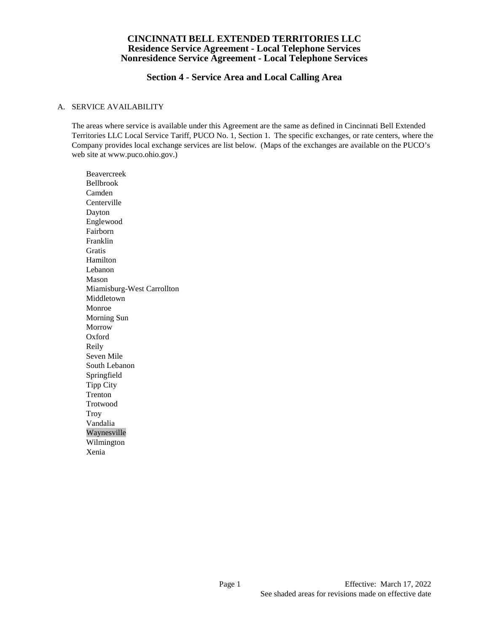# **Section 4 - Service Area and Local Calling Area**

#### A. SERVICE AVAILABILITY

The areas where service is available under this Agreement are the same as defined in Cincinnati Bell Extended Territories LLC Local Service Tariff, PUCO No. 1, Section 1. The specific exchanges, or rate centers, where the Company provides local exchange services are list below. (Maps of the exchanges are available on the PUCO's web site at www.puco.ohio.gov.)

Beavercreek Bellbrook Camden Centerville Dayton Englewood Fairborn Franklin Gratis Hamilton Lebanon Mason Miamisburg-West Carrollton Middletown Monroe Morning Sun Morrow Oxford Reily Seven Mile South Lebanon Springfield Tipp City Trenton Trotwood **Troy** Vandalia Waynesville Wilmington Xenia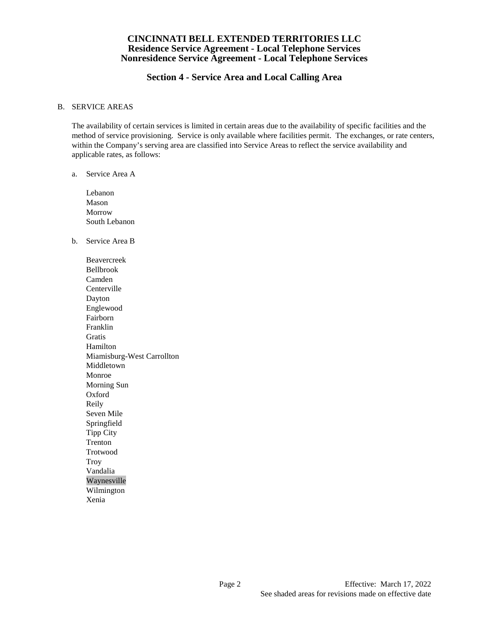# **Section 4 - Service Area and Local Calling Area**

#### B. SERVICE AREAS

The availability of certain services is limited in certain areas due to the availability of specific facilities and the method of service provisioning. Service is only available where facilities permit. The exchanges, or rate centers, within the Company's serving area are classified into Service Areas to reflect the service availability and applicable rates, as follows:

## a. Service Area A

- Lebanon Mason Morrow South Lebanon
- b. Service Area B

Beavercreek Bellbrook Camden Centerville Dayton Englewood Fairborn Franklin **Gratis** Hamilton Miamisburg-West Carrollton Middletown Monroe Morning Sun Oxford Reily Seven Mile Springfield Tipp City Trenton Trotwood Troy Vandalia Waynesville Wilmington Xenia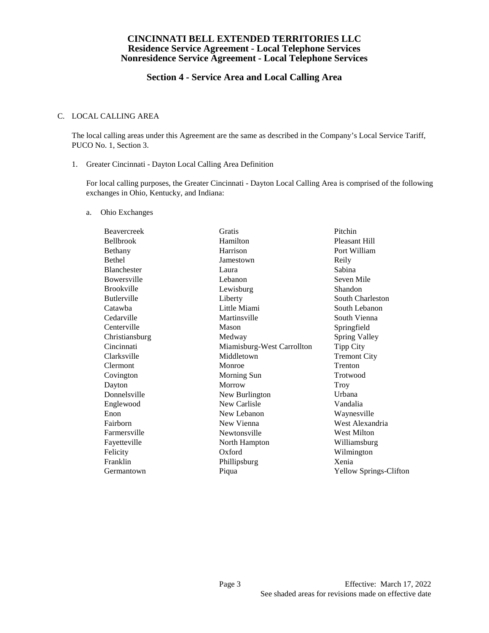# **Section 4 - Service Area and Local Calling Area**

#### C. LOCAL CALLING AREA

The local calling areas under this Agreement are the same as described in the Company's Local Service Tariff, PUCO No. 1, Section 3.

1. Greater Cincinnati - Dayton Local Calling Area Definition

For local calling purposes, the Greater Cincinnati - Dayton Local Calling Area is comprised of the following exchanges in Ohio, Kentucky, and Indiana:

a. Ohio Exchanges

| Beavercreek        | Gratis                     | Pitchin                       |
|--------------------|----------------------------|-------------------------------|
| <b>Bellbrook</b>   | Hamilton                   | <b>Pleasant Hill</b>          |
| Bethany            | Harrison                   | Port William                  |
| <b>Bethel</b>      | Jamestown                  | Reily                         |
| <b>Blanchester</b> | Laura                      | Sabina                        |
| Bowersville        | Lebanon                    | Seven Mile                    |
| <b>Brookville</b>  | Lewisburg                  | Shandon                       |
| <b>Butlerville</b> | Liberty                    | South Charleston              |
| Catawha            | Little Miami               | South Lebanon                 |
| Cedarville         | Martinsville               | South Vienna                  |
| Centerville        | Mason                      | Springfield                   |
| Christiansburg     | Medway                     | <b>Spring Valley</b>          |
| Cincinnati         | Miamisburg-West Carrollton | <b>Tipp City</b>              |
| Clarksville        | Middletown                 | <b>Tremont City</b>           |
| <b>Clermont</b>    | Monroe                     | Trenton                       |
| Covington          | Morning Sun                | Trotwood                      |
| Dayton             | Morrow                     | Troy                          |
| Donnelsville       | New Burlington             | Urbana                        |
| Englewood          | New Carlisle               | Vandalia                      |
| Enon               | New Lebanon                | Waynesville                   |
| Fairborn           | New Vienna                 | West Alexandria               |
| Farmersville       | Newtonsville               | <b>West Milton</b>            |
| Fayetteville       | North Hampton              | Williamsburg                  |
| Felicity           | Oxford                     | Wilmington                    |
| Franklin           | Phillipsburg               | Xenia                         |
| Germantown         | Piqua                      | <b>Yellow Springs-Clifton</b> |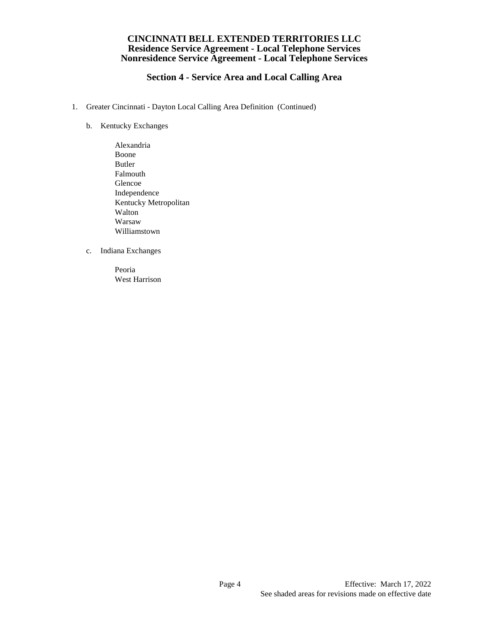# **Section 4 - Service Area and Local Calling Area**

- 1. Greater Cincinnati Dayton Local Calling Area Definition (Continued)
	- b. Kentucky Exchanges
		- Alexandria Boone Butler Falmouth Glencoe Independence Kentucky Metropolitan Walton Warsaw Williamstown
	- c. Indiana Exchanges

Peoria West Harrison